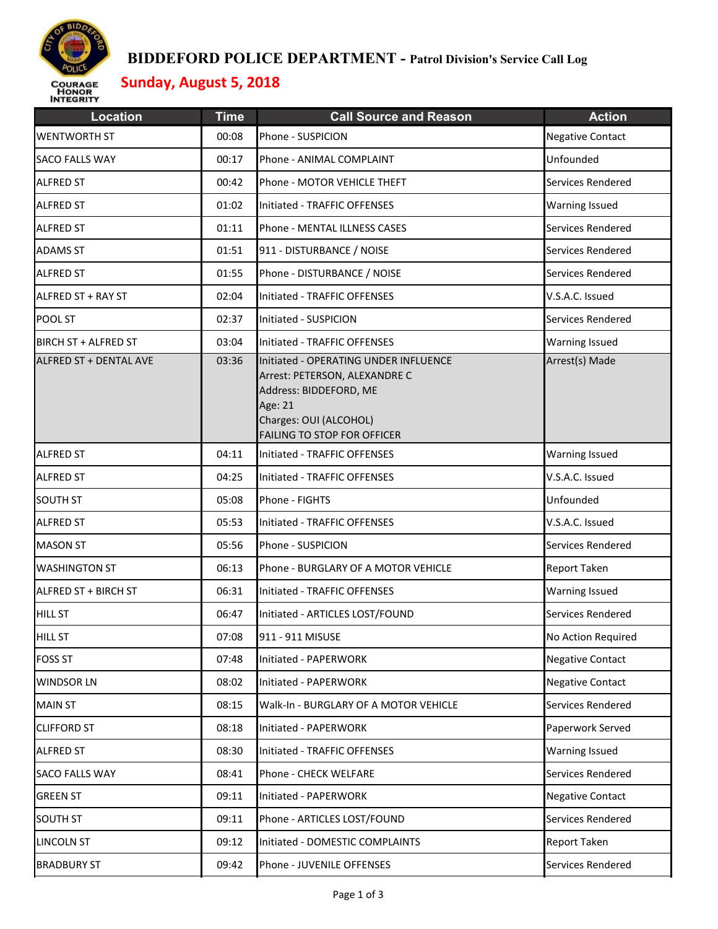

### **BIDDEFORD POLICE DEPARTMENT - Patrol Division's Service Call Log**

# **Sunday, August 5, 2018**

| <b>Time</b> | <b>Call Source and Reason</b>                                                                                                                                               | <b>Action</b>           |
|-------------|-----------------------------------------------------------------------------------------------------------------------------------------------------------------------------|-------------------------|
| 00:08       | Phone - SUSPICION                                                                                                                                                           | <b>Negative Contact</b> |
| 00:17       | Phone - ANIMAL COMPLAINT                                                                                                                                                    | Unfounded               |
| 00:42       | Phone - MOTOR VEHICLE THEFT                                                                                                                                                 | Services Rendered       |
| 01:02       | Initiated - TRAFFIC OFFENSES                                                                                                                                                | <b>Warning Issued</b>   |
| 01:11       | Phone - MENTAL ILLNESS CASES                                                                                                                                                | Services Rendered       |
| 01:51       | 911 - DISTURBANCE / NOISE                                                                                                                                                   | Services Rendered       |
| 01:55       | Phone - DISTURBANCE / NOISE                                                                                                                                                 | Services Rendered       |
| 02:04       | Initiated - TRAFFIC OFFENSES                                                                                                                                                | V.S.A.C. Issued         |
| 02:37       | Initiated - SUSPICION                                                                                                                                                       | Services Rendered       |
| 03:04       | Initiated - TRAFFIC OFFENSES                                                                                                                                                | <b>Warning Issued</b>   |
| 03:36       | Initiated - OPERATING UNDER INFLUENCE<br>Arrest: PETERSON, ALEXANDRE C<br>Address: BIDDEFORD, ME<br>Age: 21<br>Charges: OUI (ALCOHOL)<br><b>FAILING TO STOP FOR OFFICER</b> | Arrest(s) Made          |
| 04:11       | Initiated - TRAFFIC OFFENSES                                                                                                                                                | <b>Warning Issued</b>   |
| 04:25       | Initiated - TRAFFIC OFFENSES                                                                                                                                                | V.S.A.C. Issued         |
| 05:08       | Phone - FIGHTS                                                                                                                                                              | Unfounded               |
| 05:53       | Initiated - TRAFFIC OFFENSES                                                                                                                                                | V.S.A.C. Issued         |
| 05:56       | Phone - SUSPICION                                                                                                                                                           | Services Rendered       |
| 06:13       | Phone - BURGLARY OF A MOTOR VEHICLE                                                                                                                                         | Report Taken            |
| 06:31       | Initiated - TRAFFIC OFFENSES                                                                                                                                                | <b>Warning Issued</b>   |
| 06:47       | Initiated - ARTICLES LOST/FOUND                                                                                                                                             | Services Rendered       |
| 07:08       | 911 - 911 MISUSE                                                                                                                                                            | No Action Required      |
| 07:48       | Initiated - PAPERWORK                                                                                                                                                       | <b>Negative Contact</b> |
| 08:02       | Initiated - PAPERWORK                                                                                                                                                       | <b>Negative Contact</b> |
| 08:15       | Walk-In - BURGLARY OF A MOTOR VEHICLE                                                                                                                                       | Services Rendered       |
| 08:18       | Initiated - PAPERWORK                                                                                                                                                       | Paperwork Served        |
| 08:30       | Initiated - TRAFFIC OFFENSES                                                                                                                                                | Warning Issued          |
| 08:41       | <b>Phone - CHECK WELFARE</b>                                                                                                                                                | Services Rendered       |
| 09:11       | Initiated - PAPERWORK                                                                                                                                                       | <b>Negative Contact</b> |
| 09:11       | Phone - ARTICLES LOST/FOUND                                                                                                                                                 | Services Rendered       |
| 09:12       | Initiated - DOMESTIC COMPLAINTS                                                                                                                                             | Report Taken            |
| 09:42       | Phone - JUVENILE OFFENSES                                                                                                                                                   | Services Rendered       |
|             |                                                                                                                                                                             |                         |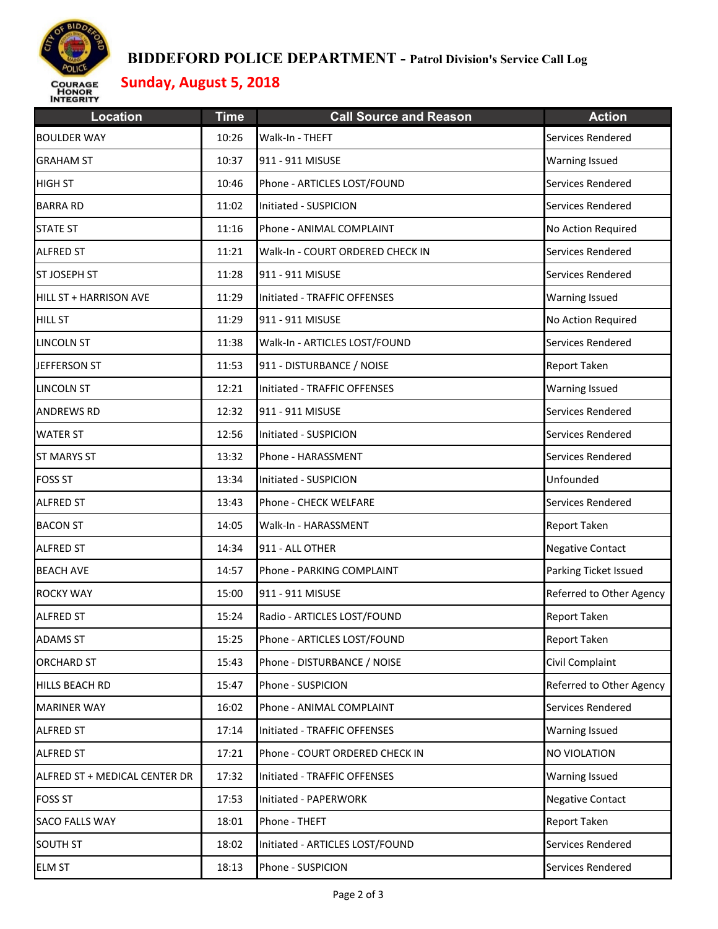

### **BIDDEFORD POLICE DEPARTMENT - Patrol Division's Service Call Log**

# **Sunday, August 5, 2018**

| <b>Location</b>               | <b>Time</b> | <b>Call Source and Reason</b>    | <b>Action</b>            |
|-------------------------------|-------------|----------------------------------|--------------------------|
| <b>BOULDER WAY</b>            | 10:26       | Walk-In - THEFT                  | Services Rendered        |
| <b>GRAHAM ST</b>              | 10:37       | 911 - 911 MISUSE                 | <b>Warning Issued</b>    |
| <b>HIGH ST</b>                | 10:46       | Phone - ARTICLES LOST/FOUND      | Services Rendered        |
| <b>BARRA RD</b>               | 11:02       | Initiated - SUSPICION            | Services Rendered        |
| <b>STATE ST</b>               | 11:16       | Phone - ANIMAL COMPLAINT         | No Action Required       |
| <b>ALFRED ST</b>              | 11:21       | Walk-In - COURT ORDERED CHECK IN | Services Rendered        |
| ST JOSEPH ST                  | 11:28       | 911 - 911 MISUSE                 | Services Rendered        |
| HILL ST + HARRISON AVE        | 11:29       | Initiated - TRAFFIC OFFENSES     | <b>Warning Issued</b>    |
| <b>HILL ST</b>                | 11:29       | 911 - 911 MISUSE                 | No Action Required       |
| <b>LINCOLN ST</b>             | 11:38       | Walk-In - ARTICLES LOST/FOUND    | Services Rendered        |
| JEFFERSON ST                  | 11:53       | 911 - DISTURBANCE / NOISE        | Report Taken             |
| <b>LINCOLN ST</b>             | 12:21       | Initiated - TRAFFIC OFFENSES     | <b>Warning Issued</b>    |
| <b>ANDREWS RD</b>             | 12:32       | 911 - 911 MISUSE                 | Services Rendered        |
| <b>WATER ST</b>               | 12:56       | Initiated - SUSPICION            | Services Rendered        |
| <b>ST MARYS ST</b>            | 13:32       | Phone - HARASSMENT               | Services Rendered        |
| <b>FOSS ST</b>                | 13:34       | Initiated - SUSPICION            | Unfounded                |
| <b>ALFRED ST</b>              | 13:43       | Phone - CHECK WELFARE            | Services Rendered        |
| <b>BACON ST</b>               | 14:05       | Walk-In - HARASSMENT             | <b>Report Taken</b>      |
| <b>ALFRED ST</b>              | 14:34       | 911 - ALL OTHER                  | <b>Negative Contact</b>  |
| <b>BEACH AVE</b>              | 14:57       | Phone - PARKING COMPLAINT        | Parking Ticket Issued    |
| <b>ROCKY WAY</b>              | 15:00       | 911 - 911 MISUSE                 | Referred to Other Agency |
| <b>ALFRED ST</b>              | 15:24       | Radio - ARTICLES LOST/FOUND      | Report Taken             |
| <b>ADAMS ST</b>               | 15:25       | Phone - ARTICLES LOST/FOUND      | <b>Report Taken</b>      |
| <b>ORCHARD ST</b>             | 15:43       | Phone - DISTURBANCE / NOISE      | Civil Complaint          |
| HILLS BEACH RD                | 15:47       | Phone - SUSPICION                | Referred to Other Agency |
| <b>MARINER WAY</b>            | 16:02       | Phone - ANIMAL COMPLAINT         | Services Rendered        |
| <b>ALFRED ST</b>              | 17:14       | Initiated - TRAFFIC OFFENSES     | <b>Warning Issued</b>    |
| <b>ALFRED ST</b>              | 17:21       | Phone - COURT ORDERED CHECK IN   | NO VIOLATION             |
| ALFRED ST + MEDICAL CENTER DR | 17:32       | Initiated - TRAFFIC OFFENSES     | <b>Warning Issued</b>    |
| <b>FOSS ST</b>                | 17:53       | Initiated - PAPERWORK            | <b>Negative Contact</b>  |
| <b>SACO FALLS WAY</b>         | 18:01       | Phone - THEFT                    | Report Taken             |
| <b>SOUTH ST</b>               | 18:02       | Initiated - ARTICLES LOST/FOUND  | Services Rendered        |
| <b>ELM ST</b>                 | 18:13       | Phone - SUSPICION                | Services Rendered        |